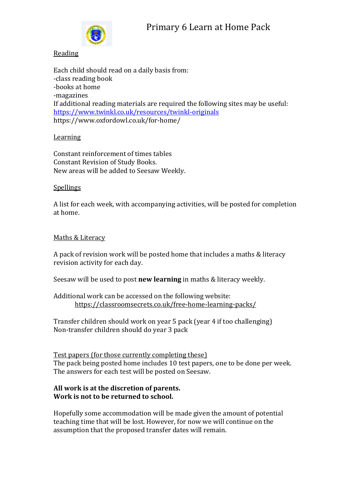

#### Reading

Each child should read on a daily basis from: -class reading book -books at home -magazines If additional reading materials are required the following sites may be useful: <https://www.twinkl.co.uk/resources/twinkl-originals> https://www.oxfordowl.co.uk/for-home/

## **Learning**

Constant reinforcement of times tables Constant Revision of Study Books. New areas will be added to Seesaw Weekly.

## **Spellings**

A list for each week, with accompanying activities, will be posted for completion at home.

## Maths & Literacy

A pack of revision work will be posted home that includes a maths & literacy revision activity for each day.

Seesaw will be used to post **new learning** in maths & literacy weekly.

## Additional work can be accessed on the following website: <https://classroomsecrets.co.uk/free-home-learning-packs/>

Transfer children should work on year 5 pack (year 4 if too challenging) Non-transfer children should do year 3 pack

#### Test papers (for those currently completing these) The pack being posted home includes 10 test papers, one to be done per week. The answers for each test will be posted on Seesaw.

#### **All work is at the discretion of parents. Work is not to be returned to school.**

Hopefully some accommodation will be made given the amount of potential teaching time that will be lost. However, for now we will continue on the assumption that the proposed transfer dates will remain.